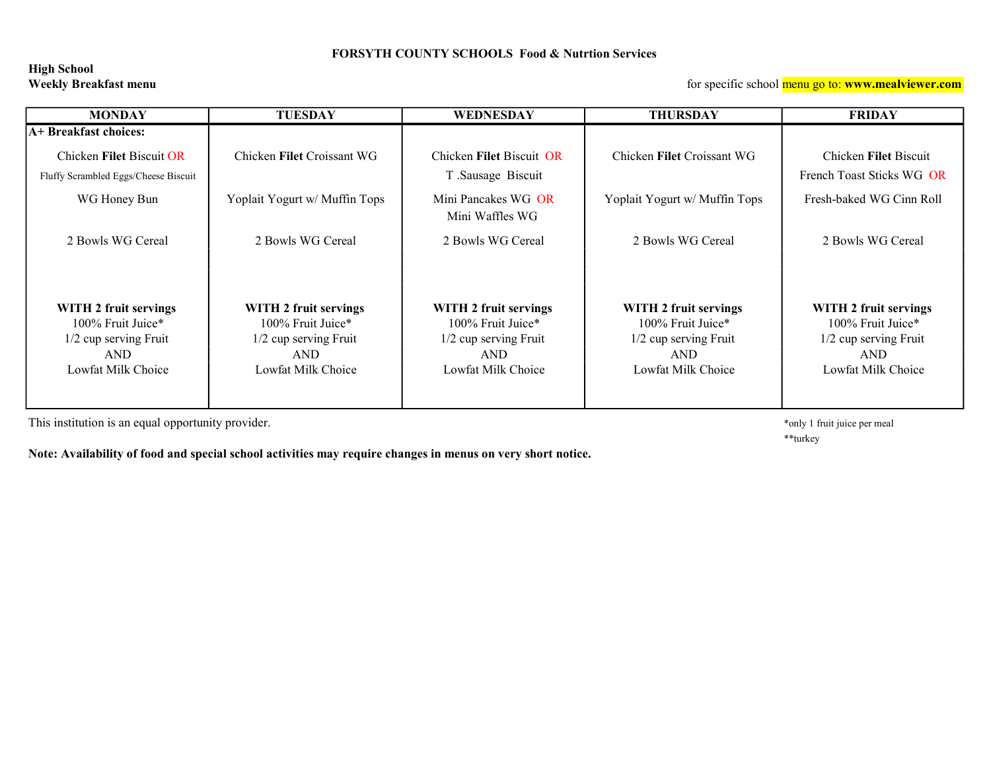#### FORSYTH COUNTY SCHOOLS Food & Nutrtion Services

## High School

Weekly Breakfast menu **the substitution of the set of the set of specific school menu go to: www.mealviewer.com** 

| <b>MONDAY</b>                                                    | <b>TUESDAY</b>                | WEDNESDAY                                     | <b>THURSDAY</b>               | <b>FRIDAY</b>                                      |
|------------------------------------------------------------------|-------------------------------|-----------------------------------------------|-------------------------------|----------------------------------------------------|
| A+ Breakfast choices:                                            |                               |                                               |                               |                                                    |
| Chicken Filet Biscuit OR<br>Fluffy Scrambled Eggs/Cheese Biscuit | Chicken Filet Croissant WG    | Chicken Filet Biscuit OR<br>T Sausage Biscuit | Chicken Filet Croissant WG    | Chicken Filet Biscuit<br>French Toast Sticks WG OR |
| WG Honey Bun                                                     | Yoplait Yogurt w/ Muffin Tops | Mini Pancakes WG OR<br>Mini Waffles WG        | Yoplait Yogurt w/ Muffin Tops | Fresh-baked WG Cinn Roll                           |
| 2 Bowls WG Cereal                                                | 2 Bowls WG Cereal             | 2 Bowls WG Cereal                             | 2 Bowls WG Cereal             | 2 Bowls WG Cereal                                  |
|                                                                  |                               |                                               |                               |                                                    |
| WITH 2 fruit servings                                            | WITH 2 fruit servings         | WITH 2 fruit servings                         | WITH 2 fruit servings         | WITH 2 fruit servings                              |
| 100% Fruit Juice*                                                | 100% Fruit Juice*             | 100% Fruit Juice*                             | 100% Fruit Juice*             | 100% Fruit Juice*                                  |
| 1/2 cup serving Fruit                                            | 1/2 cup serving Fruit         | 1/2 cup serving Fruit                         | 1/2 cup serving Fruit         | 1/2 cup serving Fruit                              |
| <b>AND</b>                                                       | <b>AND</b>                    | <b>AND</b>                                    | <b>AND</b>                    | <b>AND</b>                                         |
| Lowfat Milk Choice                                               | Lowfat Milk Choice            | Lowfat Milk Choice                            | Lowfat Milk Choice            | Lowfat Milk Choice                                 |
|                                                                  |                               |                                               |                               |                                                    |

This institution is an equal opportunity provider.  $*$ only 1 fruit juice per meal

\*\*turkey

Note: Availability of food and special school activities may require changes in menus on very short notice.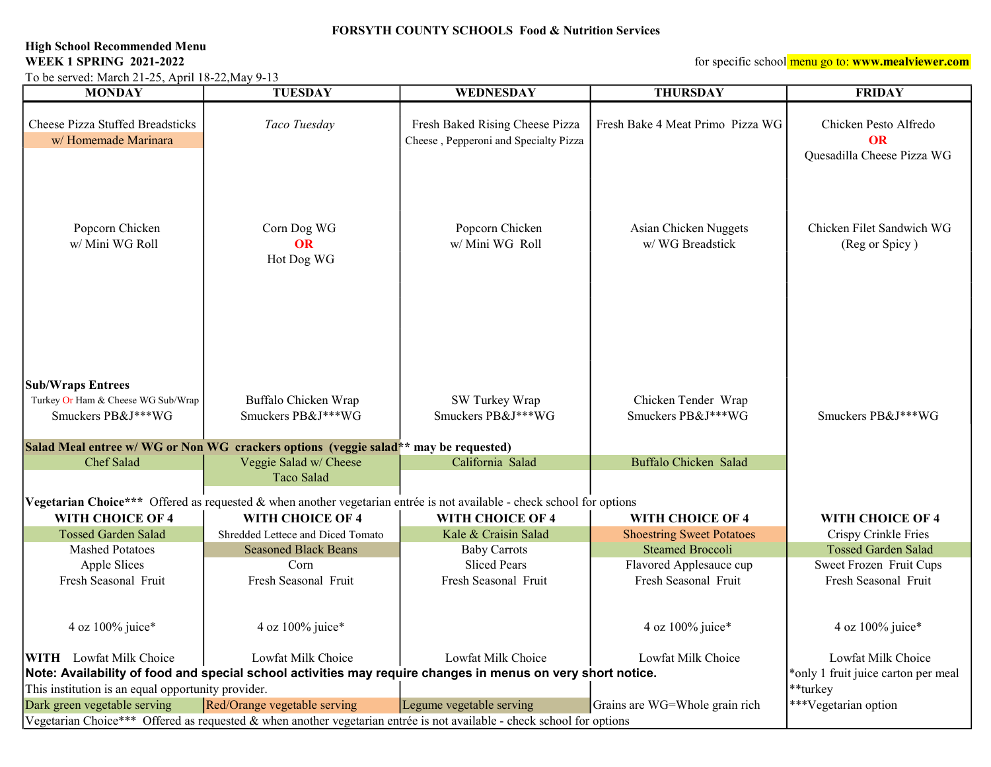### FORSYTH COUNTY SCHOOLS Food & Nutrition Services

# High School Recommended Menu<br>WEEK 1 SPRING 2021-2022

To be served: March 21-25, April 18-22,May 9-13

for specific school menu go to: www.mealviewer.com

| <b>MONDAY</b>                                                                                               | <b>TUESDAY</b>                                                                                                         | <b>WEDNESDAY</b>                                                         | <b>THURSDAY</b>                           | <b>FRIDAY</b>                                                    |
|-------------------------------------------------------------------------------------------------------------|------------------------------------------------------------------------------------------------------------------------|--------------------------------------------------------------------------|-------------------------------------------|------------------------------------------------------------------|
| Cheese Pizza Stuffed Breadsticks<br>w/Homemade Marinara                                                     | Taco Tuesday                                                                                                           | Fresh Baked Rising Cheese Pizza<br>Cheese, Pepperoni and Specialty Pizza | Fresh Bake 4 Meat Primo Pizza WG          | Chicken Pesto Alfredo<br><b>OR</b><br>Quesadilla Cheese Pizza WG |
| Popcorn Chicken<br>w/ Mini WG Roll                                                                          | Corn Dog WG<br>OR<br>Hot Dog WG                                                                                        | Popcorn Chicken<br>w/ Mini WG Roll                                       | Asian Chicken Nuggets<br>w/WG Breadstick  | Chicken Filet Sandwich WG<br>(Reg or Spicy)                      |
| <b>Sub/Wraps Entrees</b><br>Turkey Or Ham & Cheese WG Sub/Wrap<br>Smuckers PB&J***WG                        | Buffalo Chicken Wrap<br>Smuckers PB&J***WG                                                                             | SW Turkey Wrap<br>Smuckers PB&J***WG                                     | Chicken Tender Wrap<br>Smuckers PB&J***WG | Smuckers PB&J***WG                                               |
|                                                                                                             |                                                                                                                        |                                                                          |                                           |                                                                  |
| Chef Salad                                                                                                  | Salad Meal entree w/WG or Non WG crackers options (veggie salad** may be requested)<br>Veggie Salad w/ Cheese          | California Salad                                                         | Buffalo Chicken Salad                     |                                                                  |
|                                                                                                             | Taco Salad                                                                                                             |                                                                          |                                           |                                                                  |
|                                                                                                             |                                                                                                                        |                                                                          |                                           |                                                                  |
|                                                                                                             | Vegetarian Choice*** Offered as requested & when another vegetarian entrée is not available - check school for options |                                                                          |                                           |                                                                  |
| WITH CHOICE OF 4                                                                                            | WITH CHOICE OF 4                                                                                                       | WITH CHOICE OF 4                                                         | WITH CHOICE OF 4                          | WITH CHOICE OF 4                                                 |
| <b>Tossed Garden Salad</b>                                                                                  | Shredded Lettece and Diced Tomato                                                                                      | Kale & Craisin Salad                                                     | <b>Shoestring Sweet Potatoes</b>          | Crispy Crinkle Fries                                             |
| <b>Mashed Potatoes</b>                                                                                      | <b>Seasoned Black Beans</b>                                                                                            | <b>Baby Carrots</b>                                                      | <b>Steamed Broccoli</b>                   | <b>Tossed Garden Salad</b>                                       |
| Apple Slices                                                                                                | Corn                                                                                                                   | <b>Sliced Pears</b>                                                      | Flavored Applesauce cup                   | Sweet Frozen Fruit Cups                                          |
| Fresh Seasonal Fruit                                                                                        | Fresh Seasonal Fruit                                                                                                   | Fresh Seasonal Fruit                                                     | Fresh Seasonal Fruit                      | Fresh Seasonal Fruit                                             |
| 4 oz 100% juice*                                                                                            | 4 oz 100% juice*                                                                                                       |                                                                          | 4 oz 100% juice*                          | 4 oz 100% juice*                                                 |
| <b>WITH</b> Lowfat Milk Choice                                                                              | Lowfat Milk Choice                                                                                                     | Lowfat Milk Choice                                                       | Lowfat Milk Choice                        | Lowfat Milk Choice                                               |
| Note: Availability of food and special school activities may require changes in menus on very short notice. |                                                                                                                        |                                                                          |                                           | *only 1 fruit juice carton per meal                              |
| This institution is an equal opportunity provider.                                                          |                                                                                                                        |                                                                          |                                           | **turkey                                                         |
| Dark green vegetable serving                                                                                | Red/Orange vegetable serving                                                                                           | Legume vegetable serving                                                 | Grains are WG=Whole grain rich            | ***Vegetarian option                                             |
|                                                                                                             | Vegetarian Choice*** Offered as requested & when another vegetarian entrée is not available - check school for options |                                                                          |                                           |                                                                  |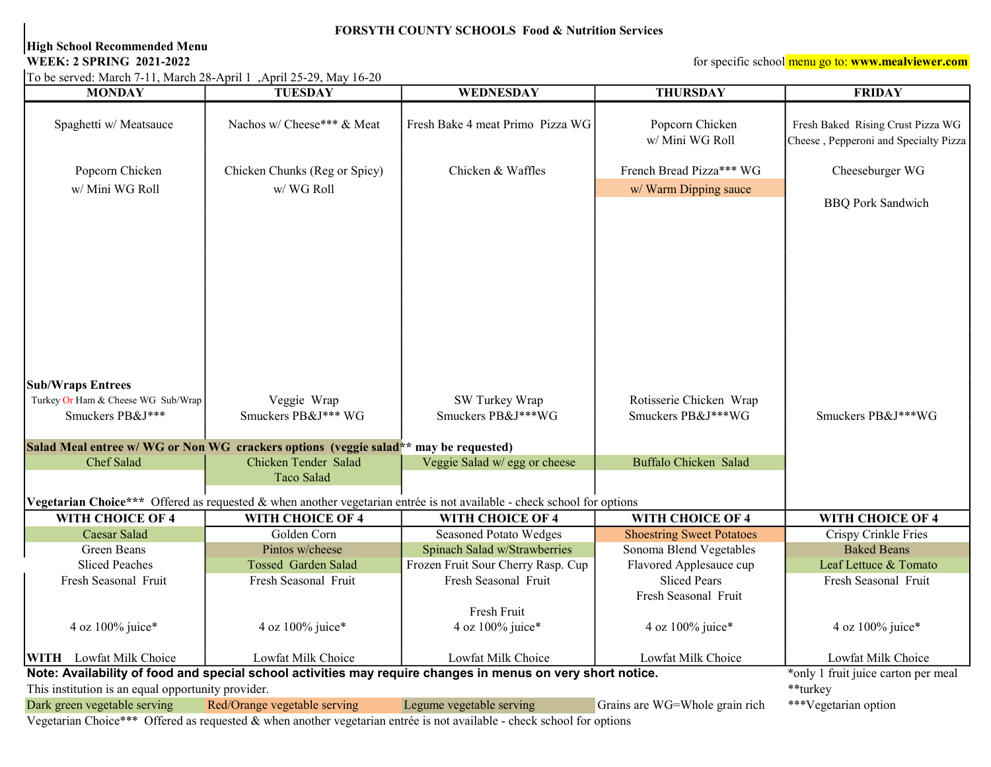#### FORSYTH COUNTY SCHOOLS Food & Nutrition Services

### High School Recommended Menu

To be served: March 7-11, March 28-April 1 ,April 25-29, May 16-20

WEEK: 2 SPRING 2021-2022 *SPRING 2021-2022 MEEK: 2* **SPRING 2021-2022** *MEEK: 2* **SPRING 2021-2022** *MEEK: 2* **SPRING 2021-2022** 

| <b>MONDAY</b>                                                                                               | <b>TUESDAY</b>                                                                                                         | <b>WEDNESDAY</b>                   | <b>THURSDAY</b>                  | <b>FRIDAY</b>                         |
|-------------------------------------------------------------------------------------------------------------|------------------------------------------------------------------------------------------------------------------------|------------------------------------|----------------------------------|---------------------------------------|
|                                                                                                             |                                                                                                                        |                                    |                                  |                                       |
| Spaghetti w/ Meatsauce                                                                                      | Nachos w/ Cheese*** & Meat                                                                                             | Fresh Bake 4 meat Primo Pizza WG   | Popcorn Chicken                  | Fresh Baked Rising Crust Pizza WG     |
|                                                                                                             |                                                                                                                        |                                    | w/ Mini WG Roll                  | Cheese, Pepperoni and Specialty Pizza |
| Popcorn Chicken                                                                                             | Chicken Chunks (Reg or Spicy)                                                                                          | Chicken & Waffles                  | French Bread Pizza*** WG         | Cheeseburger WG                       |
| w/ Mini WG Roll                                                                                             | w/WG Roll                                                                                                              |                                    | w/ Warm Dipping sauce            |                                       |
|                                                                                                             |                                                                                                                        |                                    |                                  | <b>BBQ Pork Sandwich</b>              |
|                                                                                                             |                                                                                                                        |                                    |                                  |                                       |
|                                                                                                             |                                                                                                                        |                                    |                                  |                                       |
|                                                                                                             |                                                                                                                        |                                    |                                  |                                       |
|                                                                                                             |                                                                                                                        |                                    |                                  |                                       |
|                                                                                                             |                                                                                                                        |                                    |                                  |                                       |
|                                                                                                             |                                                                                                                        |                                    |                                  |                                       |
|                                                                                                             |                                                                                                                        |                                    |                                  |                                       |
|                                                                                                             |                                                                                                                        |                                    |                                  |                                       |
|                                                                                                             |                                                                                                                        |                                    |                                  |                                       |
|                                                                                                             |                                                                                                                        |                                    |                                  |                                       |
| <b>Sub/Wraps Entrees</b>                                                                                    |                                                                                                                        |                                    |                                  |                                       |
| Turkey Or Ham & Cheese WG Sub/Wrap                                                                          | Veggie Wrap                                                                                                            | SW Turkey Wrap                     | Rotisserie Chicken Wrap          |                                       |
| Smuckers PB&J***                                                                                            | Smuckers PB&J*** WG                                                                                                    | Smuckers PB&J***WG                 | Smuckers PB&J***WG               | Smuckers PB&J***WG                    |
|                                                                                                             |                                                                                                                        |                                    |                                  |                                       |
|                                                                                                             | Salad Meal entree w/ WG or Non WG crackers options (veggie salad** may be requested)                                   |                                    |                                  |                                       |
| Chef Salad                                                                                                  | Chicken Tender Salad                                                                                                   | Veggie Salad w/ egg or cheese      | Buffalo Chicken Salad            |                                       |
|                                                                                                             | Taco Salad                                                                                                             |                                    |                                  |                                       |
|                                                                                                             | Vegetarian Choice*** Offered as requested & when another vegetarian entrée is not available - check school for options |                                    |                                  |                                       |
| WITH CHOICE OF 4                                                                                            | WITH CHOICE OF 4                                                                                                       | WITH CHOICE OF 4                   | WITH CHOICE OF 4                 | WITH CHOICE OF 4                      |
| Caesar Salad                                                                                                | Golden Corn                                                                                                            | <b>Seasoned Potato Wedges</b>      | <b>Shoestring Sweet Potatoes</b> | Crispy Crinkle Fries                  |
| Green Beans                                                                                                 | Pintos w/cheese                                                                                                        | Spinach Salad w/Strawberries       | Sonoma Blend Vegetables          | <b>Baked Beans</b>                    |
| <b>Sliced Peaches</b>                                                                                       | <b>Tossed Garden Salad</b>                                                                                             | Frozen Fruit Sour Cherry Rasp. Cup | Flavored Applesauce cup          | Leaf Lettuce & Tomato                 |
| Fresh Seasonal Fruit                                                                                        | Fresh Seasonal Fruit                                                                                                   | Fresh Seasonal Fruit               | <b>Sliced Pears</b>              | Fresh Seasonal Fruit                  |
|                                                                                                             |                                                                                                                        |                                    | Fresh Seasonal Fruit             |                                       |
|                                                                                                             |                                                                                                                        | Fresh Fruit                        |                                  |                                       |
| 4 oz 100% juice*                                                                                            | 4 oz 100% juice*                                                                                                       | 4 oz 100% juice*                   | 4 oz 100% juice*                 | 4 oz 100% juice*                      |
|                                                                                                             |                                                                                                                        |                                    |                                  |                                       |
| <b>WITH</b> Lowfat Milk Choice                                                                              | Lowfat Milk Choice                                                                                                     | Lowfat Milk Choice                 | Lowfat Milk Choice               | Lowfat Milk Choice                    |
| Note: Availability of food and special school activities may require changes in menus on very short notice. |                                                                                                                        |                                    |                                  | *only 1 fruit juice carton per meal   |
| This institution is an equal opportunity provider.                                                          |                                                                                                                        |                                    |                                  | **turkey                              |
| Dark green vegetable serving                                                                                | Red/Orange vegetable serving                                                                                           | Legume vegetable serving           | Grains are WG=Whole grain rich   | ***Vegetarian option                  |

Vegetarian Choice\*\*\* Offered as requested & when another vegetarian entrée is not available - check school for options